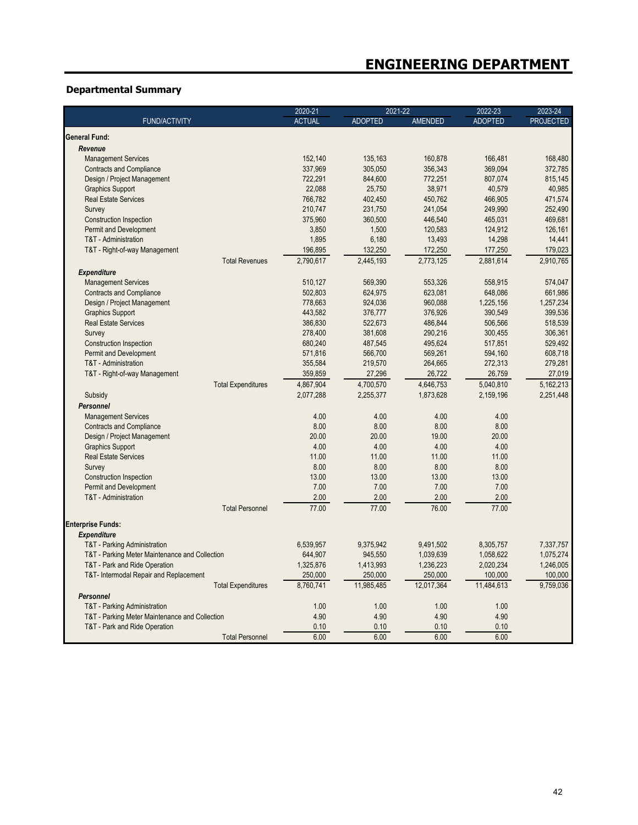## **Departmental Summary**

|                                                | 2020-21<br>2021-22<br>2022-23 | 2023-24        |                |                |                  |
|------------------------------------------------|-------------------------------|----------------|----------------|----------------|------------------|
| <b>FUND/ACTIVITY</b>                           | <b>ACTUAL</b>                 | <b>ADOPTED</b> | <b>AMENDED</b> | <b>ADOPTED</b> | <b>PROJECTED</b> |
| General Fund:                                  |                               |                |                |                |                  |
| Revenue                                        |                               |                |                |                |                  |
| <b>Management Services</b>                     | 152,140                       | 135,163        | 160,878        | 166,481        | 168,480          |
| <b>Contracts and Compliance</b>                | 337,969                       | 305,050        | 356,343        | 369.094        | 372,785          |
| Design / Project Management                    | 722,291                       | 844,600        | 772,251        | 807,074        | 815,145          |
| <b>Graphics Support</b>                        | 22,088                        | 25,750         | 38,971         | 40,579         | 40,985           |
| <b>Real Estate Services</b>                    | 766.782                       | 402,450        | 450.762        | 466,905        | 471.574          |
| Survey                                         | 210,747                       | 231,750        | 241,054        | 249,990        | 252,490          |
| Construction Inspection                        | 375,960                       | 360,500        | 446,540        | 465,031        | 469,681          |
| Permit and Development                         | 3,850                         | 1,500          | 120,583        | 124,912        | 126,161          |
| T&T - Administration                           | 1,895                         | 6,180          | 13,493         | 14,298         | 14,441           |
| T&T - Right-of-way Management                  | 196,895                       | 132,250        | 172,250        | 177,250        | 179,023          |
|                                                |                               |                |                |                |                  |
| <b>Total Revenues</b>                          | 2,790,617                     | 2,445,193      | 2,773,125      | 2,881,614      | 2,910,765        |
| <b>Expenditure</b>                             |                               |                |                |                |                  |
| <b>Management Services</b>                     | 510,127                       | 569,390        | 553,326        | 558,915        | 574,047          |
| <b>Contracts and Compliance</b>                | 502,803                       | 624,975        | 623,081        | 648,086        | 661,986          |
| Design / Project Management                    | 778,663                       | 924,036        | 960,088        | 1,225,156      | 1,257,234        |
| <b>Graphics Support</b>                        | 443,582                       | 376,777        | 376,926        | 390,549        | 399,536          |
| <b>Real Estate Services</b>                    | 386,830                       | 522,673        | 486,844        | 506,566        | 518,539          |
| Survey                                         | 278,400                       | 381,608        | 290,216        | 300,455        | 306,361          |
| <b>Construction Inspection</b>                 | 680,240                       | 487,545        | 495,624        | 517,851        | 529,492          |
| Permit and Development                         | 571,816                       | 566,700        | 569,261        | 594,160        | 608,718          |
| T&T - Administration                           | 355,584                       | 219,570        | 264,665        | 272,313        | 279,281          |
| T&T - Right-of-way Management                  | 359,859                       | 27,296         | 26,722         | 26,759         | 27,019           |
| <b>Total Expenditures</b>                      | 4,867,904                     | 4,700,570      | 4,646,753      | 5.040.810      | 5,162,213        |
| Subsidy                                        | 2,077,288                     | 2,255,377      | 1,873,628      | 2,159,196      | 2,251,448        |
| <b>Personnel</b>                               |                               |                |                |                |                  |
| <b>Management Services</b>                     | 4.00                          | 4.00           | 4.00           | 4.00           |                  |
| <b>Contracts and Compliance</b>                | 8.00                          | 8.00           | 8.00           | 8.00           |                  |
| Design / Project Management                    | 20.00                         | 20.00          | 19.00          | 20.00          |                  |
| <b>Graphics Support</b>                        | 4.00                          | 4.00           | 4.00           | 4.00           |                  |
| <b>Real Estate Services</b>                    | 11.00                         | 11.00          | 11.00          | 11.00          |                  |
| Survey                                         | 8.00                          | 8.00           | 8.00           | 8.00           |                  |
| Construction Inspection                        | 13.00                         | 13.00          | 13.00          | 13.00          |                  |
| Permit and Development                         | 7.00                          | 7.00           | 7.00           | 7.00           |                  |
| T&T - Administration                           | 2.00                          | 2.00           | 2.00           | 2.00           |                  |
| <b>Total Personnel</b>                         | 77.00                         | 77.00          | 76.00          | 77.00          |                  |
|                                                |                               |                |                |                |                  |
| <b>Enterprise Funds:</b>                       |                               |                |                |                |                  |
| <b>Expenditure</b>                             |                               |                |                |                |                  |
| T&T - Parking Administration                   | 6.539.957                     | 9,375,942      | 9,491,502      | 8,305,757      | 7.337.757        |
| T&T - Parking Meter Maintenance and Collection | 644,907                       | 945,550        | 1,039,639      | 1,058,622      | 1,075,274        |
| T&T - Park and Ride Operation                  | 1,325,876                     | 1,413,993      | 1,236,223      | 2,020,234      | 1,246,005        |
| T&T- Intermodal Repair and Replacement         | 250,000                       | 250,000        | 250,000        | 100,000        | 100,000          |
| <b>Total Expenditures</b>                      | 8,760,741                     | 11,985,485     | 12,017,364     | 11,484,613     | 9,759,036        |
| <b>Personnel</b>                               |                               |                |                |                |                  |
| T&T - Parking Administration                   | 1.00                          | 1.00           | 1.00           | 1.00           |                  |
| T&T - Parking Meter Maintenance and Collection | 4.90                          | 4.90           | 4.90           | 4.90           |                  |
| T&T - Park and Ride Operation                  | 0.10                          | 0.10           | 0.10           | 0.10           |                  |
| <b>Total Personnel</b>                         | 6.00                          | 6.00           | 6.00           | 6.00           |                  |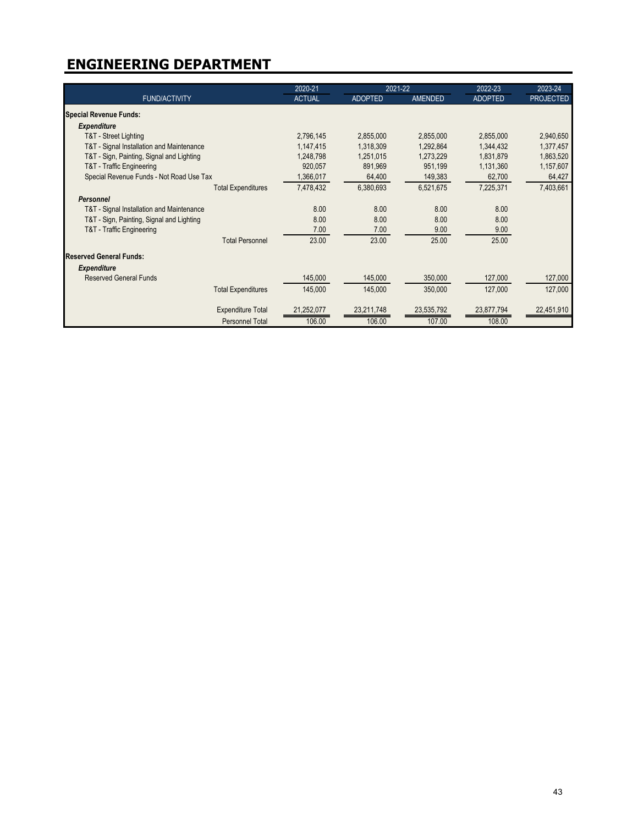|                                           | 2020-21       | 2021-22        |                | 2022-23        | 2023-24          |
|-------------------------------------------|---------------|----------------|----------------|----------------|------------------|
| <b>FUND/ACTIVITY</b>                      | <b>ACTUAL</b> | <b>ADOPTED</b> | <b>AMENDED</b> | <b>ADOPTED</b> | <b>PROJECTED</b> |
| <b>Special Revenue Funds:</b>             |               |                |                |                |                  |
| <b>Expenditure</b>                        |               |                |                |                |                  |
| T&T - Street Lighting                     | 2,796,145     | 2,855,000      | 2,855,000      | 2,855,000      | 2,940,650        |
| T&T - Signal Installation and Maintenance | 1,147,415     | 1,318,309      | 1,292,864      | 1,344,432      | 1,377,457        |
| T&T - Sign, Painting, Signal and Lighting | 1,248,798     | 1,251,015      | 1,273,229      | 1,831,879      | 1,863,520        |
| T&T - Traffic Engineering                 | 920,057       | 891,969        | 951,199        | 1,131,360      | 1,157,607        |
| Special Revenue Funds - Not Road Use Tax  | 1,366,017     | 64,400         | 149,383        | 62,700         | 64,427           |
| <b>Total Expenditures</b>                 | 7,478,432     | 6,380,693      | 6,521,675      | 7,225,371      | 7,403,661        |
| <b>Personnel</b>                          |               |                |                |                |                  |
| T&T - Signal Installation and Maintenance | 8.00          | 8.00           | 8.00           | 8.00           |                  |
| T&T - Sign, Painting, Signal and Lighting | 8.00          | 8.00           | 8.00           | 8.00           |                  |
| T&T - Traffic Engineering                 | 7.00          | 7.00           | 9.00           | 9.00           |                  |
| <b>Total Personnel</b>                    | 23.00         | 23.00          | 25.00          | 25.00          |                  |
| <b>Reserved General Funds:</b>            |               |                |                |                |                  |
| <b>Expenditure</b>                        |               |                |                |                |                  |
| <b>Reserved General Funds</b>             | 145,000       | 145,000        | 350,000        | 127,000        | 127,000          |
| <b>Total Expenditures</b>                 | 145,000       | 145,000        | 350,000        | 127,000        | 127,000          |
| <b>Expenditure Total</b>                  | 21,252,077    | 23,211,748     | 23,535,792     | 23,877,794     | 22,451,910       |
| <b>Personnel Total</b>                    | 106.00        | 106.00         | 107.00         | 108.00         |                  |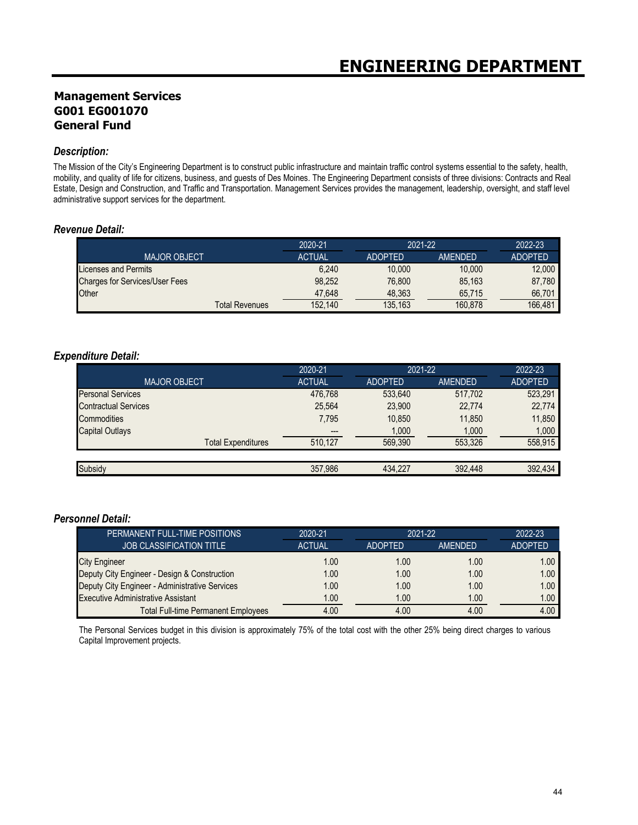## **Management Services G001 EG001070 General Fund**

#### *Description:*

The Mission of the City's Engineering Department is to construct public infrastructure and maintain traffic control systems essential to the safety, health, mobility, and quality of life for citizens, business, and guests of Des Moines. The Engineering Department consists of three divisions: Contracts and Real Estate, Design and Construction, and Traffic and Transportation. Management Services provides the management, leadership, oversight, and staff level administrative support services for the department.

#### *Revenue Detail:*

|                                       | 2020-21       | 2021-22        |                | 2022-23        |
|---------------------------------------|---------------|----------------|----------------|----------------|
| <b>MAJOR OBJECT</b>                   | <b>ACTUAL</b> | <b>ADOPTED</b> | <b>AMENDED</b> | <b>ADOPTED</b> |
| Licenses and Permits                  | 6.240         | 10,000         | 10.000         | 12,000         |
| <b>Charges for Services/User Fees</b> | 98.252        | 76.800         | 85.163         | 87.780         |
| <b>Other</b>                          | 47.648        | 48,363         | 65,715         | 66.701         |
| Total Revenues                        | 152,140       | 135.163        | 160.878        | 166.481        |

#### *Expenditure Detail:*

|                             | 2020-21       | 2021-22        |                |                | 2022-23 |
|-----------------------------|---------------|----------------|----------------|----------------|---------|
| <b>MAJOR OBJECT</b>         | <b>ACTUAL</b> | <b>ADOPTED</b> | <b>AMENDED</b> | <b>ADOPTED</b> |         |
| <b>Personal Services</b>    | 476.768       | 533.640        | 517.702        | 523,291        |         |
| <b>Contractual Services</b> | 25,564        | 23,900         | 22,774         | 22,774         |         |
| Commodities                 | 7.795         | 10,850         | 11,850         | 11,850         |         |
| <b>Capital Outlays</b>      | ---           | 1,000          | 1,000          | 1.000          |         |
| <b>Total Expenditures</b>   | 510,127       | 569.390        | 553.326        | 558.915        |         |
|                             |               |                |                |                |         |
| Subsidy                     | 357.986       | 434.227        | 392,448        | 392.434        |         |

#### *Personnel Detail:*

| PERMANENT FULL-TIME POSITIONS                  | 2020-21       | $2021 - 22$    |         | 2022-23           |
|------------------------------------------------|---------------|----------------|---------|-------------------|
| <b>JOB CLASSIFICATION TITLE</b>                | <b>ACTUAL</b> | <b>ADOPTED</b> | AMENDED | <b>ADOPTED</b>    |
| City Engineer                                  | 1.00          | 1.00           | 1.00    | 1.00 <sub>1</sub> |
| Deputy City Engineer - Design & Construction   | 1.00          | 1.00           | 1.00    | 1.00              |
| Deputy City Engineer - Administrative Services | 1.00          | 1.00           | 1.00    | 1.00              |
| <b>Executive Administrative Assistant</b>      | 1.00          | 1.00           | 1.00    | 1.00              |
| <b>Total Full-time Permanent Employees</b>     | 4.00          | 4.00           | 4.00    | 4.00              |

The Personal Services budget in this division is approximately 75% of the total cost with the other 25% being direct charges to various Capital Improvement projects.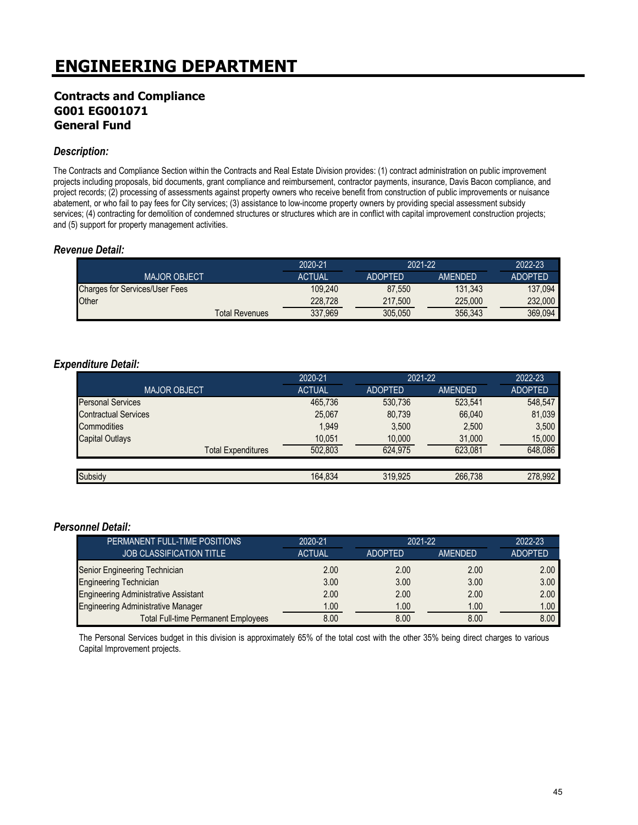### **Contracts and Compliance G001 EG001071 General Fund**

#### *Description:*

The Contracts and Compliance Section within the Contracts and Real Estate Division provides: (1) contract administration on public improvement projects including proposals, bid documents, grant compliance and reimbursement, contractor payments, insurance, Davis Bacon compliance, and project records; (2) processing of assessments against property owners who receive benefit from construction of public improvements or nuisance abatement, or who fail to pay fees for City services; (3) assistance to low-income property owners by providing special assessment subsidy services; (4) contracting for demolition of condemned structures or structures which are in conflict with capital improvement construction projects; and (5) support for property management activities.

#### *Revenue Detail:*

|                                       | 2020-21       | 2021-22        |         | 2022-23        |
|---------------------------------------|---------------|----------------|---------|----------------|
| <b>MAJOR OBJECT</b>                   | <b>ACTUAL</b> | <b>ADOPTED</b> | AMFNDFD | <b>ADOPTED</b> |
| <b>Charges for Services/User Fees</b> | 109.240       | 87.550         | 131.343 | 137.094        |
| Other                                 | 228,728       | 217.500        | 225,000 | 232,000        |
| <b>Total Revenues</b>                 | 337.969       | 305.050        | 356,343 | 369.094        |

#### *Expenditure Detail:*

|                             | 2020-21       | 2021-22        |                | 2022-23        |
|-----------------------------|---------------|----------------|----------------|----------------|
| <b>MAJOR OBJECT</b>         | <b>ACTUAL</b> | <b>ADOPTED</b> | <b>AMENDED</b> | <b>ADOPTED</b> |
| <b>Personal Services</b>    | 465,736       | 530.736        | 523.541        | 548.547        |
| <b>Contractual Services</b> | 25,067        | 80,739         | 66.040         | 81,039         |
| Commodities                 | 1.949         | 3.500          | 2,500          | 3.500          |
| <b>Capital Outlays</b>      | 10,051        | 10,000         | 31,000         | 15,000         |
| <b>Total Expenditures</b>   | 502.803       | 624.975        | 623.081        | 648.086        |
|                             |               |                |                |                |
| Subsidy                     | 164.834       | 319.925        | 266,738        | 278.992        |

#### *Personnel Detail:*

| PERMANENT FULL-TIME POSITIONS               | 2020-21       | $2021 - 22$    |         | 2022-23        |
|---------------------------------------------|---------------|----------------|---------|----------------|
| <b>JOB CLASSIFICATION TITLE</b>             | <b>ACTUAL</b> | <b>ADOPTED</b> | AMENDED | <b>ADOPTED</b> |
| Senior Engineering Technician               | 2.00          | 2.00           | 2.00    | 2.00           |
| <b>Engineering Technician</b>               | 3.00          | 3.00           | 3.00    | 3.00           |
| <b>Engineering Administrative Assistant</b> | 2.00          | 2.00           | 2.00    | 2.00           |
| <b>Engineering Administrative Manager</b>   | 1.00          | 1.00           | 1.00    | 1.00           |
| <b>Total Full-time Permanent Employees</b>  | 8.00          | 8.00           | 8.00    | 8.00           |

The Personal Services budget in this division is approximately 65% of the total cost with the other 35% being direct charges to various Capital Improvement projects.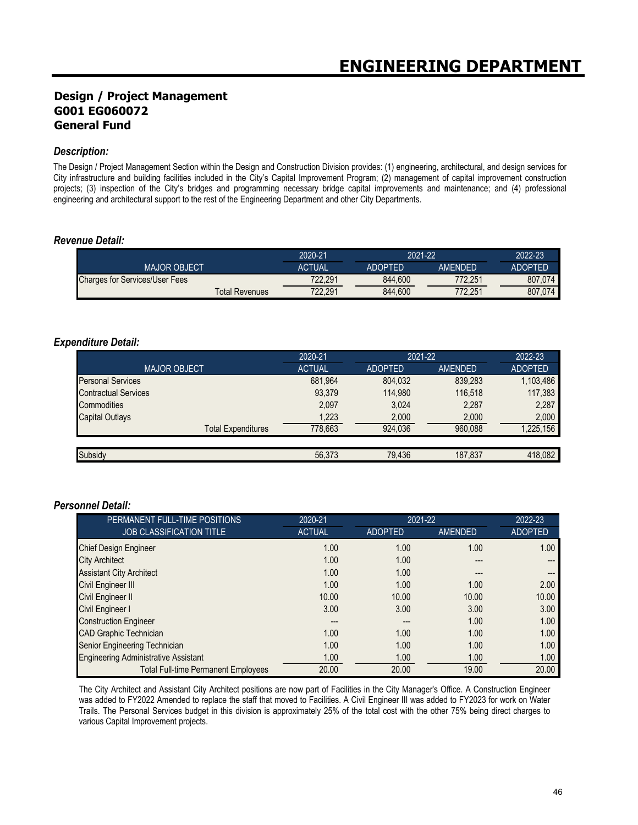## **Design / Project Management G001 EG060072 General Fund**

#### *Description:*

The Design / Project Management Section within the Design and Construction Division provides: (1) engineering, architectural, and design services for City infrastructure and building facilities included in the City's Capital Improvement Program; (2) management of capital improvement construction projects; (3) inspection of the City's bridges and programming necessary bridge capital improvements and maintenance; and (4) professional engineering and architectural support to the rest of the Engineering Department and other City Departments.

#### *Revenue Detail:*

|                                       |                | 2020-21 | 2021-22        |                | 2022-23        |
|---------------------------------------|----------------|---------|----------------|----------------|----------------|
| <b>MAJOR OBJECT</b>                   |                | ACTUAL  | <b>ADOPTED</b> | <b>AMFNDFD</b> | <b>ADOPTED</b> |
| <b>Charges for Services/User Fees</b> |                | 722.291 | 844.600        | 772.251        | 807.074        |
|                                       | Total Revenues | 722.291 | 844.600        | 772.251        | 807,074        |

#### *Expenditure Detail:*

|                             | 2020-21       | 2021-22        |                | 2022-23        |
|-----------------------------|---------------|----------------|----------------|----------------|
| <b>MAJOR OBJECT</b>         | <b>ACTUAL</b> | <b>ADOPTED</b> | <b>AMENDED</b> | <b>ADOPTED</b> |
| <b>Personal Services</b>    | 681,964       | 804,032        | 839.283        | 1,103,486      |
| <b>Contractual Services</b> | 93,379        | 114.980        | 116.518        | 117,383        |
| Commodities                 | 2,097         | 3,024          | 2,287          | 2,287          |
| <b>Capital Outlays</b>      | 1,223         | 2,000          | 2,000          | 2,000          |
| <b>Total Expenditures</b>   | 778.663       | 924,036        | 960.088        | 1,225,156      |
|                             |               |                |                |                |
| Subsidy                     | 56,373        | 79.436         | 187,837        | 418.082        |

#### *Personnel Detail:*

| PERMANENT FULL-TIME POSITIONS               | 2020-21       | 2021-22        |                | 2022-23        |
|---------------------------------------------|---------------|----------------|----------------|----------------|
| <b>JOB CLASSIFICATION TITLE</b>             | <b>ACTUAL</b> | <b>ADOPTED</b> | <b>AMENDED</b> | <b>ADOPTED</b> |
| <b>Chief Design Engineer</b>                | 1.00          | 1.00           | 1.00           | 1.00           |
| <b>City Architect</b>                       | 1.00          | 1.00           | ---            |                |
| <b>Assistant City Architect</b>             | 1.00          | 1.00           | ---            |                |
| Civil Engineer III                          | 1.00          | 1.00           | 1.00           | 2.00           |
| Civil Engineer II                           | 10.00         | 10.00          | 10.00          | 10.00          |
| Civil Engineer I                            | 3.00          | 3.00           | 3.00           | 3.00           |
| <b>Construction Engineer</b>                | ---           | ---            | 1.00           | 1.00           |
| <b>CAD Graphic Technician</b>               | 1.00          | 1.00           | 1.00           | 1.00           |
| Senior Engineering Technician               | 1.00          | 1.00           | 1.00           | 1.00           |
| <b>Engineering Administrative Assistant</b> | 1.00          | 1.00           | 1.00           | 1.00           |
| <b>Total Full-time Permanent Employees</b>  | 20.00         | 20.00          | 19.00          | 20.00          |

The City Architect and Assistant City Architect positions are now part of Facilities in the City Manager's Office. A Construction Engineer was added to FY2022 Amended to replace the staff that moved to Facilities. A Civil Engineer III was added to FY2023 for work on Water Trails. The Personal Services budget in this division is approximately 25% of the total cost with the other 75% being direct charges to various Capital Improvement projects.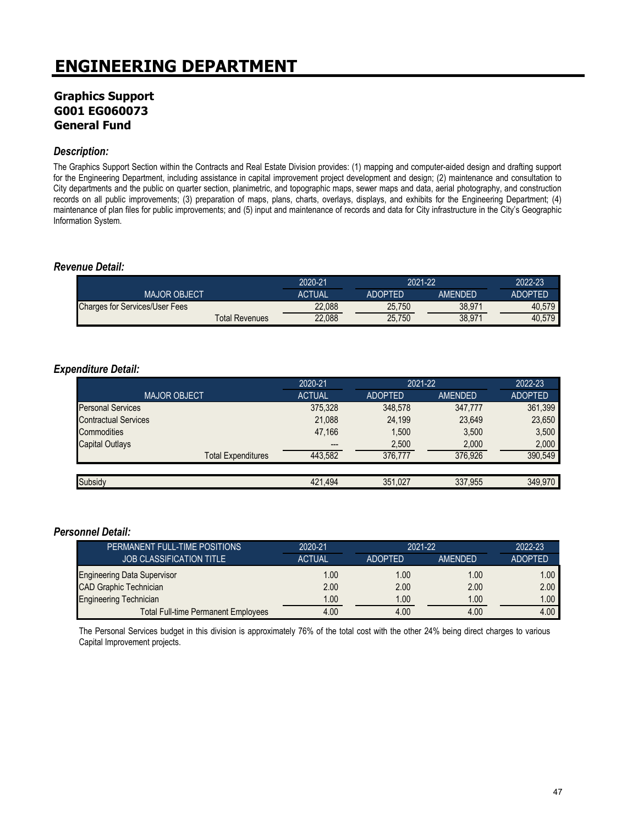## **Graphics Support G001 EG060073 General Fund**

#### *Description:*

The Graphics Support Section within the Contracts and Real Estate Division provides: (1) mapping and computer-aided design and drafting support for the Engineering Department, including assistance in capital improvement project development and design; (2) maintenance and consultation to City departments and the public on quarter section, planimetric, and topographic maps, sewer maps and data, aerial photography, and construction records on all public improvements; (3) preparation of maps, plans, charts, overlays, displays, and exhibits for the Engineering Department; (4) maintenance of plan files for public improvements; and (5) input and maintenance of records and data for City infrastructure in the City's Geographic Information System.

#### *Revenue Detail:*

|                                       | 2020-21 | 2021-22        |         | 2022-23        |
|---------------------------------------|---------|----------------|---------|----------------|
| <b>MAJOR OBJECT</b>                   | ACTUAL  | <b>ADOPTED</b> | AMFNDFD | <b>ADOPTED</b> |
| <b>Charges for Services/User Fees</b> | 22,088  | 25.750         | 38.971  | 40.579         |
| Total Revenues                        | 22,088  | 25.750         | 38,971  | 40.579         |

#### *Expenditure Detail:*

|                             | 2020-21       | 2021-22        |                | 2022-23        |
|-----------------------------|---------------|----------------|----------------|----------------|
| MAJOR OBJECT.               | <b>ACTUAL</b> | <b>ADOPTED</b> | <b>AMENDED</b> | <b>ADOPTED</b> |
| <b>Personal Services</b>    | 375,328       | 348,578        | 347,777        | 361,399        |
| <b>Contractual Services</b> | 21,088        | 24.199         | 23,649         | 23,650         |
| Commodities                 | 47.166        | 1,500          | 3,500          | 3,500          |
| <b>Capital Outlays</b>      | ---           | 2,500          | 2,000          | 2.000          |
| <b>Total Expenditures</b>   | 443.582       | 376.777        | 376.926        | 390.549        |
|                             |               |                |                |                |
| Subsidy                     | 421.494       | 351.027        | 337.955        | 349.970        |

#### *Personnel Detail:*

| PERMANENT FULL-TIME POSITIONS              | 2020-21       | $2021 - 22$    |                | 2022-23           |
|--------------------------------------------|---------------|----------------|----------------|-------------------|
| <b>JOB CLASSIFICATION TITLE</b>            | <b>ACTUAL</b> | <b>ADOPTED</b> | <b>AMENDED</b> | <b>ADOPTED</b>    |
| <b>Engineering Data Supervisor</b>         | 1.00          | 1.00           | 1.00           | 1.00 <sub>1</sub> |
| <b>CAD Graphic Technician</b>              | 2.00          | 2.00           | 2.00           | 2.00              |
| <b>Engineering Technician</b>              | 1.00          | 1.00           | 1.00           | 1.00 <sub>1</sub> |
| <b>Total Full-time Permanent Employees</b> | 4.00          | 4.00           | 4.00           | 4.00              |

The Personal Services budget in this division is approximately 76% of the total cost with the other 24% being direct charges to various Capital Improvement projects.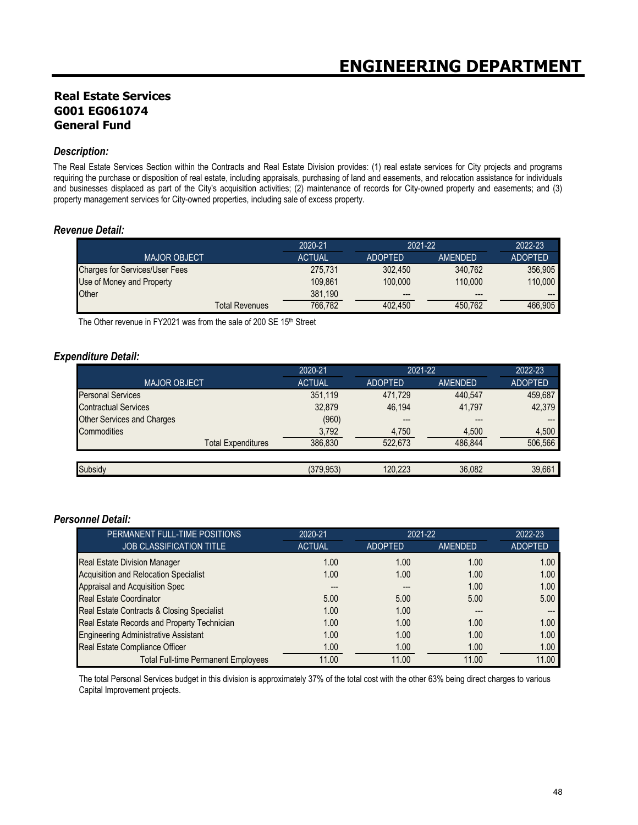## **Real Estate Services G001 EG061074 General Fund**

#### *Description:*

The Real Estate Services Section within the Contracts and Real Estate Division provides: (1) real estate services for City projects and programs requiring the purchase or disposition of real estate, including appraisals, purchasing of land and easements, and relocation assistance for individuals and businesses displaced as part of the City's acquisition activities; (2) maintenance of records for City-owned property and easements; and (3) property management services for City-owned properties, including sale of excess property.

#### *Revenue Detail:*

|                                       | 2020-21       | 2021-22        |         | 2022-23        |
|---------------------------------------|---------------|----------------|---------|----------------|
| <b>MAJOR OBJECT</b>                   | <b>ACTUAL</b> | <b>ADOPTED</b> | AMENDED | <b>ADOPTED</b> |
| <b>Charges for Services/User Fees</b> | 275.731       | 302.450        | 340.762 | 356.905        |
| Use of Money and Property             | 109.861       | 100,000        | 110,000 | 110.000        |
| Other                                 | 381.190       | $---$          | $---$   | $---$          |
| <b>Total Revenues</b>                 | 766.782       | 402.450        | 450.762 | 466.905        |

The Other revenue in FY2021 was from the sale of 200 SE 15<sup>th</sup> Street

#### *Expenditure Detail:*

|                                   | 2020-21       | 2021-22        |         | 2022-23        |
|-----------------------------------|---------------|----------------|---------|----------------|
| <b>MAJOR OBJECT</b>               | <b>ACTUAL</b> | <b>ADOPTED</b> | AMENDED | <b>ADOPTED</b> |
| <b>Personal Services</b>          | 351,119       | 471,729        | 440.547 | 459,687        |
| <b>Contractual Services</b>       | 32,879        | 46.194         | 41,797  | 42,379         |
| <b>Other Services and Charges</b> | (960)         | ---            | $---$   |                |
| Commodities                       | 3,792         | 4,750          | 4,500   | 4.500          |
| <b>Total Expenditures</b>         | 386,830       | 522.673        | 486.844 | 506.566        |
|                                   |               |                |         |                |
| Subsidy                           | (379.953)     | 120.223        | 36,082  | 39,661         |

#### *Personnel Detail:*

| PERMANENT FULL-TIME POSITIONS                | 2020-21       | 2021-22        |         | 2022-23        |
|----------------------------------------------|---------------|----------------|---------|----------------|
| <b>JOB CLASSIFICATION TITLE</b>              | <b>ACTUAL</b> | <b>ADOPTED</b> | AMENDED | <b>ADOPTED</b> |
| <b>Real Estate Division Manager</b>          | 1.00          | 1.00           | 1.00    | 1.00           |
| <b>Acquisition and Relocation Specialist</b> | 1.00          | 1.00           | 1.00    | 1.00           |
| Appraisal and Acquisition Spec               |               |                | 1.00    | 1.00           |
| <b>Real Estate Coordinator</b>               | 5.00          | 5.00           | 5.00    | 5.00           |
| Real Estate Contracts & Closing Specialist   | 1.00          | 1.00           | ---     |                |
| Real Estate Records and Property Technician  | 1.00          | 1.00           | 1.00    | 1.00           |
| <b>Engineering Administrative Assistant</b>  | 1.00          | 1.00           | 1.00    | 1.00           |
| Real Estate Compliance Officer               | 1.00          | 1.00           | 1.00    | 1.00           |
| <b>Total Full-time Permanent Employees</b>   | 11.00         | 11.00          | 11.00   | 11.00          |

The total Personal Services budget in this division is approximately 37% of the total cost with the other 63% being direct charges to various Capital Improvement projects.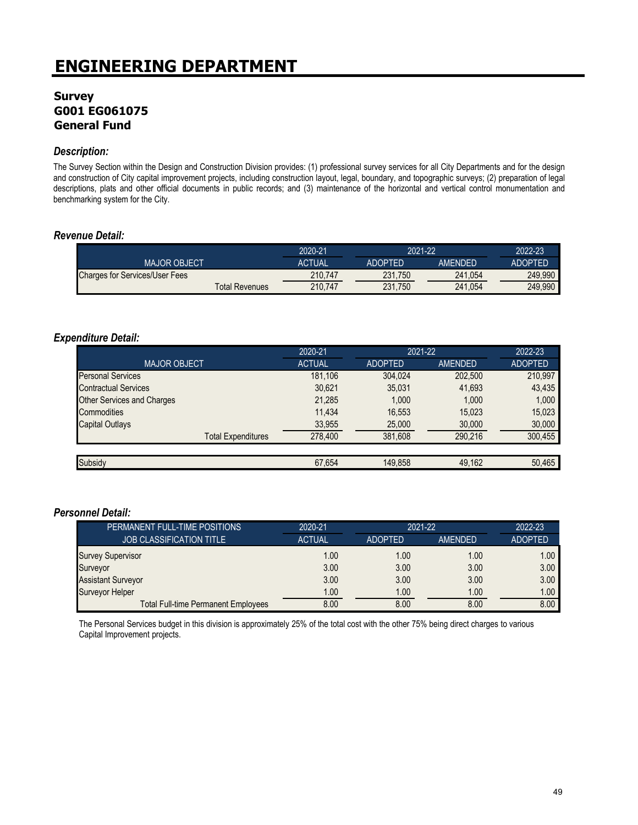## **Survey G001 EG061075 General Fund**

#### *Description:*

The Survey Section within the Design and Construction Division provides: (1) professional survey services for all City Departments and for the design and construction of City capital improvement projects, including construction layout, legal, boundary, and topographic surveys; (2) preparation of legal descriptions, plats and other official documents in public records; and (3) maintenance of the horizontal and vertical control monumentation and benchmarking system for the City.

#### *Revenue Detail:*

|                                       | 2020-21       |                | 2021-22 |                |
|---------------------------------------|---------------|----------------|---------|----------------|
| <b>MAJOR OBJECT</b>                   | <b>ACTUAL</b> | <b>ADOPTED</b> | AMFNDFD | <b>ADOPTED</b> |
| <b>Charges for Services/User Fees</b> | 210.747       | 231.750        | 241.054 | 249.990        |
| Total Revenues                        | 210.747       | 231.750        | 241.054 | 249.990        |

#### *Expenditure Detail:*

|                                   | 2020-21       | 2021-22        |                | 2022-23        |
|-----------------------------------|---------------|----------------|----------------|----------------|
| <b>MAJOR OBJECT</b>               | <b>ACTUAL</b> | <b>ADOPTED</b> | <b>AMENDED</b> | <b>ADOPTED</b> |
| <b>Personal Services</b>          | 181,106       | 304,024        | 202,500        | 210,997        |
| <b>Contractual Services</b>       | 30,621        | 35,031         | 41,693         | 43,435         |
| <b>Other Services and Charges</b> | 21,285        | 1.000          | 1.000          | 1,000          |
| Commodities                       | 11.434        | 16,553         | 15,023         | 15,023         |
| <b>Capital Outlays</b>            | 33,955        | 25,000         | 30,000         | 30,000         |
| <b>Total Expenditures</b>         | 278,400       | 381,608        | 290.216        | 300.455        |
|                                   |               |                |                |                |
| Subsidy                           | 67,654        | 149.858        | 49,162         | 50,465         |

#### *Personnel Detail:*

| PERMANENT FULL-TIME POSITIONS              | 2020-21       | 2021-22        |                | 2022-23           |
|--------------------------------------------|---------------|----------------|----------------|-------------------|
| <b>JOB CLASSIFICATION TITLE</b>            | <b>ACTUAL</b> | <b>ADOPTED</b> | <b>AMENDED</b> | <b>ADOPTED</b>    |
| <b>Survey Supervisor</b>                   | 1.00          | 1.00           | 1.00           | 1.00 <sub>1</sub> |
| Surveyor                                   | 3.00          | 3.00           | 3.00           | 3.00              |
| <b>Assistant Surveyor</b>                  | 3.00          | 3.00           | 3.00           | 3.00              |
| <b>Surveyor Helper</b>                     | 1.00          | 1.00           | 1.00           | 1.00              |
| <b>Total Full-time Permanent Employees</b> | 8.00          | 8.00           | 8.00           | 8.00              |

The Personal Services budget in this division is approximately 25% of the total cost with the other 75% being direct charges to various Capital Improvement projects.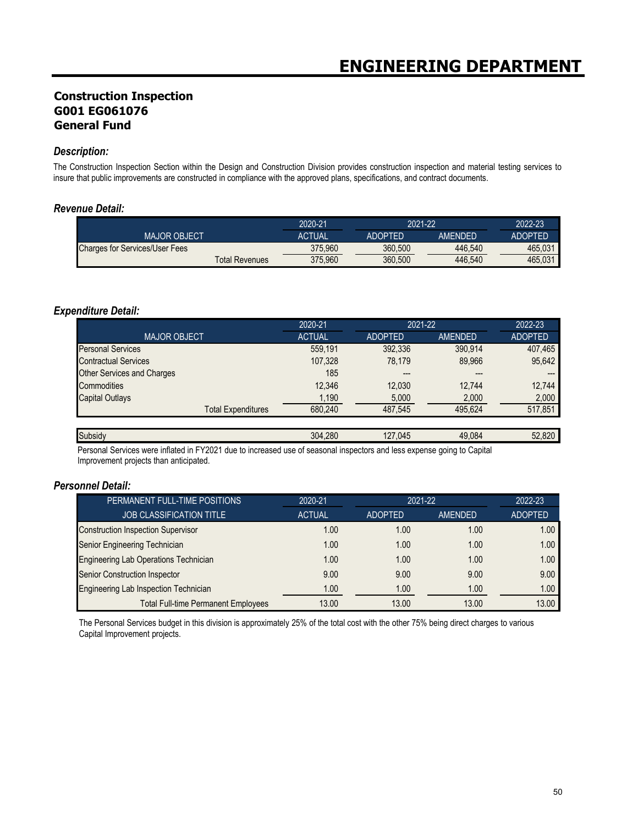## **Construction Inspection G001 EG061076 General Fund**

#### *Description:*

The Construction Inspection Section within the Design and Construction Division provides construction inspection and material testing services to insure that public improvements are constructed in compliance with the approved plans, specifications, and contract documents.

#### *Revenue Detail:*

|                                       |                | 2020-21       | 2021-22 |                | 2022-23        |
|---------------------------------------|----------------|---------------|---------|----------------|----------------|
| <b>MAJOR OBJECT</b>                   |                | <b>ACTUAL</b> | ADOPTFD | <b>AMFNDFD</b> | <b>ADOPTED</b> |
| <b>Charges for Services/User Fees</b> |                | 375.960       | 360.500 | 446.540        | 465.031        |
|                                       | Total Revenues | 375.960       | 360.500 | 446.540        | 465.031        |

#### *Expenditure Detail:*

|                                   | 2020-21       | 2021-22        |                | 2022-23        |
|-----------------------------------|---------------|----------------|----------------|----------------|
| <b>MAJOR OBJECT</b>               | <b>ACTUAL</b> | <b>ADOPTED</b> | <b>AMENDED</b> | <b>ADOPTED</b> |
| <b>Personal Services</b>          | 559,191       | 392,336        | 390.914        | 407,465        |
| <b>Contractual Services</b>       | 107,328       | 78.179         | 89,966         | 95,642         |
| <b>Other Services and Charges</b> | 185           | ---            | $---$          | ---            |
| Commodities                       | 12,346        | 12,030         | 12.744         | 12,744         |
| <b>Capital Outlays</b>            | 1,190         | 5,000          | 2,000          | 2,000          |
| <b>Total Expenditures</b>         | 680.240       | 487.545        | 495.624        | 517,851        |
|                                   |               |                |                |                |
| Subsidy                           | 304.280       | 127.045        | 49.084         | 52,820         |

Personal Services were inflated in FY2021 due to increased use of seasonal inspectors and less expense going to Capital Improvement projects than anticipated.

#### *Personnel Detail:*

| PERMANENT FULL-TIME POSITIONS                | 2020-21       | 2021-22  |         | 2022-23        |
|----------------------------------------------|---------------|----------|---------|----------------|
| <b>JOB CLASSIFICATION TITLE</b>              | <b>ACTUAL</b> | ADOPTED. | AMENDED | <b>ADOPTED</b> |
| <b>Construction Inspection Supervisor</b>    | 1.00          | 1.00     | 1.00    | 1.00           |
| Senior Engineering Technician                | 1.00          | 1.00     | 1.00    | 1.00           |
| <b>Engineering Lab Operations Technician</b> | 1.00          | 1.00     | 1.00    | 1.00           |
| <b>Senior Construction Inspector</b>         | 9.00          | 9.00     | 9.00    | 9.00           |
| Engineering Lab Inspection Technician        | 1.00          | 1.00     | 1.00    | 1.00           |
| <b>Total Full-time Permanent Employees</b>   | 13.00         | 13.00    | 13.00   | 13.00          |

The Personal Services budget in this division is approximately 25% of the total cost with the other 75% being direct charges to various Capital Improvement projects.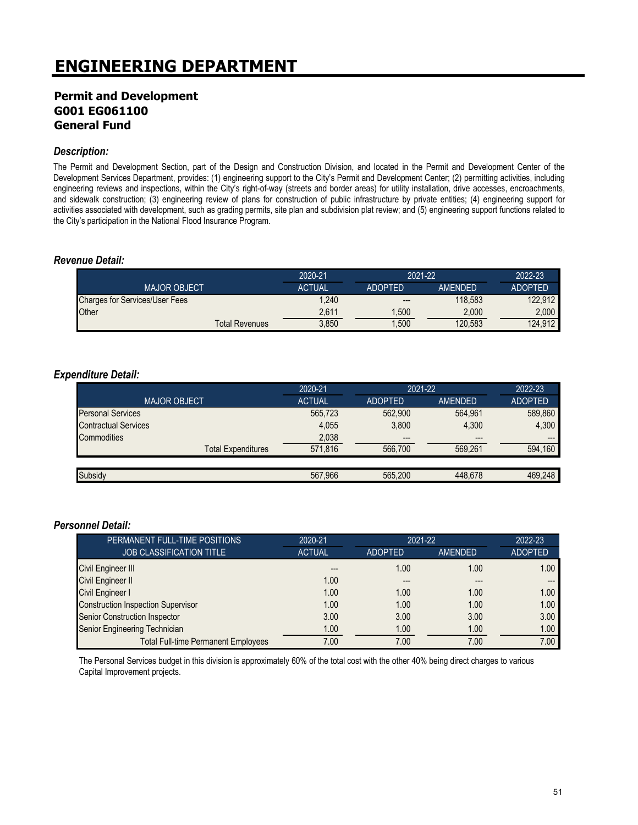### **Permit and Development G001 EG061100 General Fund**

#### *Description:*

The Permit and Development Section, part of the Design and Construction Division, and located in the Permit and Development Center of the Development Services Department, provides: (1) engineering support to the City's Permit and Development Center; (2) permitting activities, including engineering reviews and inspections, within the City's right-of-way (streets and border areas) for utility installation, drive accesses, encroachments, and sidewalk construction; (3) engineering review of plans for construction of public infrastructure by private entities; (4) engineering support for activities associated with development, such as grading permits, site plan and subdivision plat review; and (5) engineering support functions related to the City's participation in the National Flood Insurance Program.

#### *Revenue Detail:*

|                                       | 2020-21       | 2021-22        |                | 2022-23        |
|---------------------------------------|---------------|----------------|----------------|----------------|
| <b>MAJOR OBJECT</b>                   | <b>ACTUAL</b> | <b>ADOPTED</b> | <b>AMENDED</b> | <b>ADOPTED</b> |
| <b>Charges for Services/User Fees</b> | 1.240         | $- - -$        | 118.583        | 122.912        |
| Other                                 | 2.611         | .500           | 2.000          | 2.000          |
| <b>Total Revenues</b>                 | 3,850         | ,500           | 120,583        | 124,912        |

#### *Expenditure Detail:*

|                             | 2020-21       | 2021-22        |                | 2022-23        |
|-----------------------------|---------------|----------------|----------------|----------------|
| <b>MAJOR OBJECT</b>         | <b>ACTUAL</b> | <b>ADOPTED</b> | <b>AMENDED</b> | <b>ADOPTED</b> |
| <b>Personal Services</b>    | 565,723       | 562,900        | 564.961        | 589,860        |
| <b>Contractual Services</b> | 4,055         | 3.800          | 4.300          | 4.300          |
| Commodities                 | 2,038         | $---$          | $---$          |                |
| <b>Total Expenditures</b>   | 571.816       | 566.700        | 569.261        | 594.160        |
|                             |               |                |                |                |
| Subsidy                     | 567.966       | 565.200        | 448.678        | 469.248        |

#### *Personnel Detail:*

| PERMANENT FULL-TIME POSITIONS              | 2020-21       | 2021-22        |         | 2022-23        |
|--------------------------------------------|---------------|----------------|---------|----------------|
| <b>JOB CLASSIFICATION TITLE</b>            | <b>ACTUAL</b> | <b>ADOPTED</b> | AMENDED | <b>ADOPTED</b> |
| Civil Engineer III                         | ---           | 1.00           | 1.00    | 1.00           |
| Civil Engineer II                          | 1.00          | $---$          | ---     | $---$          |
| Civil Engineer I                           | 1.00          | 1.00           | 1.00    | 1.00           |
| <b>Construction Inspection Supervisor</b>  | 1.00          | 1.00           | 1.00    | 1.00           |
| Senior Construction Inspector              | 3.00          | 3.00           | 3.00    | 3.00           |
| Senior Engineering Technician              | 1.00          | 1.00           | 1.00    | 1.00           |
| <b>Total Full-time Permanent Employees</b> | 7.00          | 7.00           | 7.00    | 7.00           |

The Personal Services budget in this division is approximately 60% of the total cost with the other 40% being direct charges to various Capital Improvement projects.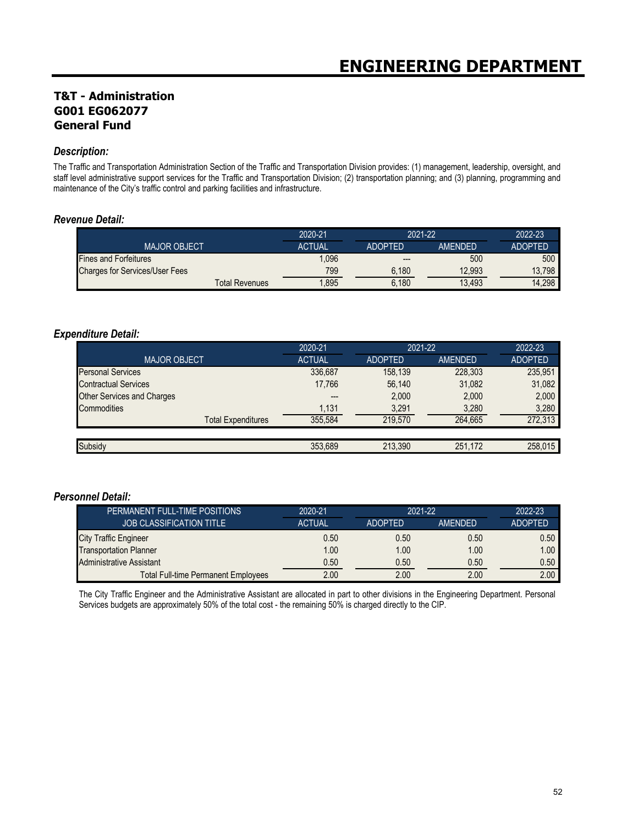## **T&T - Administration G001 EG062077 General Fund**

#### *Description:*

The Traffic and Transportation Administration Section of the Traffic and Transportation Division provides: (1) management, leadership, oversight, and staff level administrative support services for the Traffic and Transportation Division; (2) transportation planning; and (3) planning, programming and maintenance of the City's traffic control and parking facilities and infrastructure.

#### *Revenue Detail:*

|                                       |                | 2020-21       | 2021-22        |                | 2022-23        |
|---------------------------------------|----------------|---------------|----------------|----------------|----------------|
| <b>MAJOR OBJECT</b>                   |                | <b>ACTUAL</b> | <b>ADOPTED</b> | <b>AMENDED</b> | <b>ADOPTED</b> |
| <b>Fines and Forfeitures</b>          |                | 1,096         | $---$          | 500            | 500            |
| <b>Charges for Services/User Fees</b> |                | 799           | 6.180          | 12,993         | 13,798         |
|                                       | Total Revenues | .895          | 6.180          | 13,493         | 14,298         |

#### *Expenditure Detail:*

|                                   | 2020-21       | 2021-22        |         | 2022-23        |
|-----------------------------------|---------------|----------------|---------|----------------|
| <b>MAJOR OBJECT</b>               | <b>ACTUAL</b> | <b>ADOPTED</b> | AMENDED | <b>ADOPTED</b> |
| <b>Personal Services</b>          | 336,687       | 158.139        | 228,303 | 235,951        |
| <b>Contractual Services</b>       | 17,766        | 56,140         | 31,082  | 31,082         |
| <b>Other Services and Charges</b> |               | 2,000          | 2,000   | 2,000          |
| Commodities                       | 1,131         | 3,291          | 3,280   | 3,280          |
| <b>Total Expenditures</b>         | 355.584       | 219.570        | 264.665 | 272,313        |
|                                   |               |                |         |                |
| Subsidy                           | 353.689       | 213.390        | 251,172 | 258.015        |

#### *Personnel Detail:*

| PERMANENT FULL-TIME POSITIONS              | 2020-21       | 2021-22        |         | 2022-23           |
|--------------------------------------------|---------------|----------------|---------|-------------------|
| <b>JOB CLASSIFICATION TITLE</b>            | <b>ACTUAL</b> | <b>ADOPTED</b> | AMENDED | <b>ADOPTED</b>    |
| <b>City Traffic Engineer</b>               | 0.50          | 0.50           | 0.50    | 0.50              |
| <b>Transportation Planner</b>              | 1.00          | 1.00           | 1.00    | 1.00 <sub>1</sub> |
| Administrative Assistant                   | 0.50          | 0.50           | 0.50    | 0.50              |
| <b>Total Full-time Permanent Employees</b> | 2.00          | 2.00           | 2.00    | 2.00              |

The City Traffic Engineer and the Administrative Assistant are allocated in part to other divisions in the Engineering Department. Personal Services budgets are approximately 50% of the total cost - the remaining 50% is charged directly to the CIP.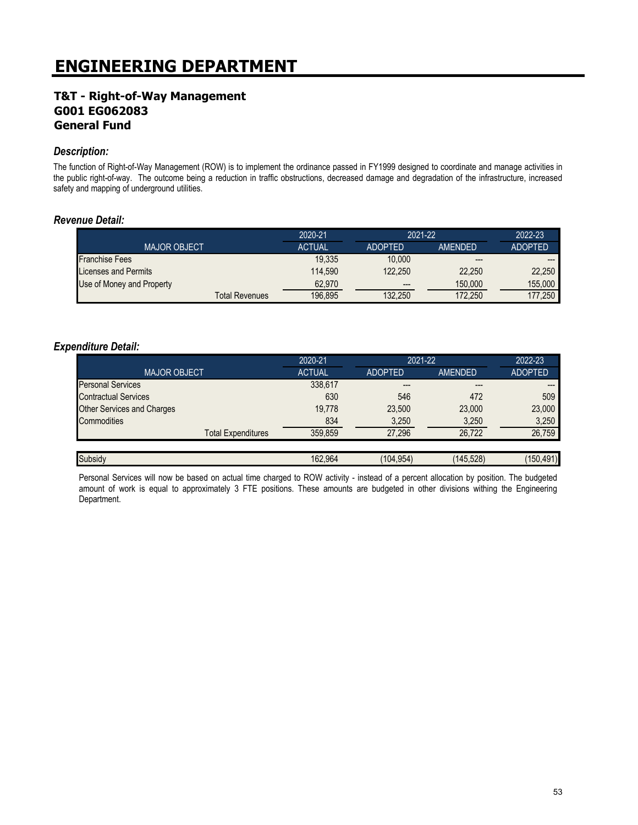## **T&T - Right-of-Way Management G001 EG062083 General Fund**

#### *Description:*

The function of Right-of-Way Management (ROW) is to implement the ordinance passed in FY1999 designed to coordinate and manage activities in the public right-of-way. The outcome being a reduction in traffic obstructions, decreased damage and degradation of the infrastructure, increased safety and mapping of underground utilities.

#### *Revenue Detail:*

|                           | 2020-21       | $2021 - 22$    |                | 2022-23        |
|---------------------------|---------------|----------------|----------------|----------------|
| <b>MAJOR OBJECT.</b>      | <b>ACTUAL</b> | <b>ADOPTED</b> | <b>AMENDED</b> | <b>ADOPTED</b> |
| <b>Franchise Fees</b>     | 19.335        | 10,000         | $---$          | ---            |
| Licenses and Permits      | 114.590       | 122.250        | 22.250         | 22.250         |
| Use of Money and Property | 62.970        | $---$          | 150,000        | 155.000        |
| Total Revenues            | 196,895       | 132,250        | 172,250        | 177.250        |

#### *Expenditure Detail:*

|                                   | 2020-21       | 2021-22        |                | 2022-23        |
|-----------------------------------|---------------|----------------|----------------|----------------|
| <b>MAJOR OBJECT</b>               | <b>ACTUAL</b> | <b>ADOPTED</b> | <b>AMENDED</b> | <b>ADOPTED</b> |
| <b>Personal Services</b>          | 338,617       | ---            | $---$          | ---            |
| <b>Contractual Services</b>       | 630           | 546            | 472            | 509            |
| <b>Other Services and Charges</b> | 19.778        | 23,500         | 23,000         | 23,000         |
| Commodities                       | 834           | 3,250          | 3,250          | 3,250          |
| <b>Total Expenditures</b>         | 359,859       | 27.296         | 26.722         | 26,759         |
|                                   |               |                |                |                |
| Subsidy                           | 162.964       | (104.954)      | (145,528)      | (150, 491)     |

Personal Services will now be based on actual time charged to ROW activity - instead of a percent allocation by position. The budgeted amount of work is equal to approximately 3 FTE positions. These amounts are budgeted in other divisions withing the Engineering Department.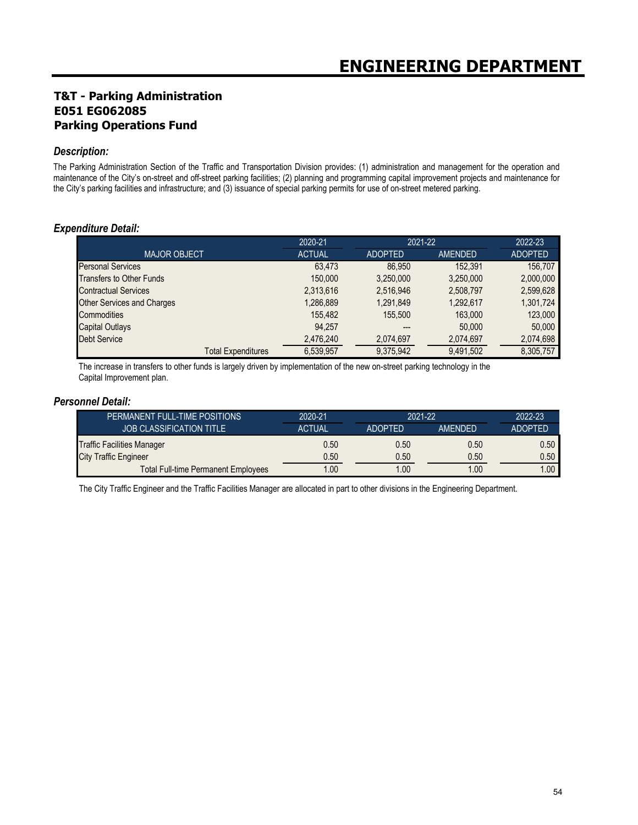## **T&T - Parking Administration E051 EG062085 Parking Operations Fund**

#### *Description:*

The Parking Administration Section of the Traffic and Transportation Division provides: (1) administration and management for the operation and maintenance of the City's on-street and off-street parking facilities; (2) planning and programming capital improvement projects and maintenance for the City's parking facilities and infrastructure; and (3) issuance of special parking permits for use of on-street metered parking.

#### *Expenditure Detail:*

|                                   | 2020-21       | 2021-22        |                | 2022-23        |
|-----------------------------------|---------------|----------------|----------------|----------------|
| <b>MAJOR OBJECT</b>               | <b>ACTUAL</b> | <b>ADOPTED</b> | <b>AMENDED</b> | <b>ADOPTED</b> |
| <b>Personal Services</b>          | 63.473        | 86.950         | 152.391        | 156.707        |
| Transfers to Other Funds          | 150,000       | 3,250,000      | 3,250,000      | 2,000,000      |
| <b>Contractual Services</b>       | 2,313,616     | 2,516,946      | 2,508,797      | 2,599,628      |
| <b>Other Services and Charges</b> | 1,286,889     | 1.291.849      | 1,292,617      | 1,301,724      |
| Commodities                       | 155.482       | 155.500        | 163,000        | 123,000        |
| <b>Capital Outlays</b>            | 94.257        | ---            | 50,000         | 50,000         |
| <b>Debt Service</b>               | 2,476,240     | 2,074,697      | 2,074,697      | 2,074,698      |
| <b>Total Expenditures</b>         | 6.539.957     | 9,375,942      | 9,491,502      | 8,305,757      |

The increase in transfers to other funds is largely driven by implementation of the new on-street parking technology in the Capital Improvement plan.

#### *Personnel Detail:*

| PERMANENT FULL-TIME POSITIONS              | 2020-21       | 2021-22        |                | $2022 - 23$    |
|--------------------------------------------|---------------|----------------|----------------|----------------|
| <b>JOB CLASSIFICATION TITLE</b>            | <b>ACTUAL</b> | <b>ADOPTED</b> | <b>AMENDED</b> | <b>ADOPTED</b> |
| <b>Traffic Facilities Manager</b>          | 0.50          | 0.50           | 0.50           | 0.50           |
| <b>City Traffic Engineer</b>               | 0.50          | 0.50           | 0.50           | 0.50           |
| <b>Total Full-time Permanent Employees</b> | 1.00          | 1.00           | .00            | .00            |

The City Traffic Engineer and the Traffic Facilities Manager are allocated in part to other divisions in the Engineering Department.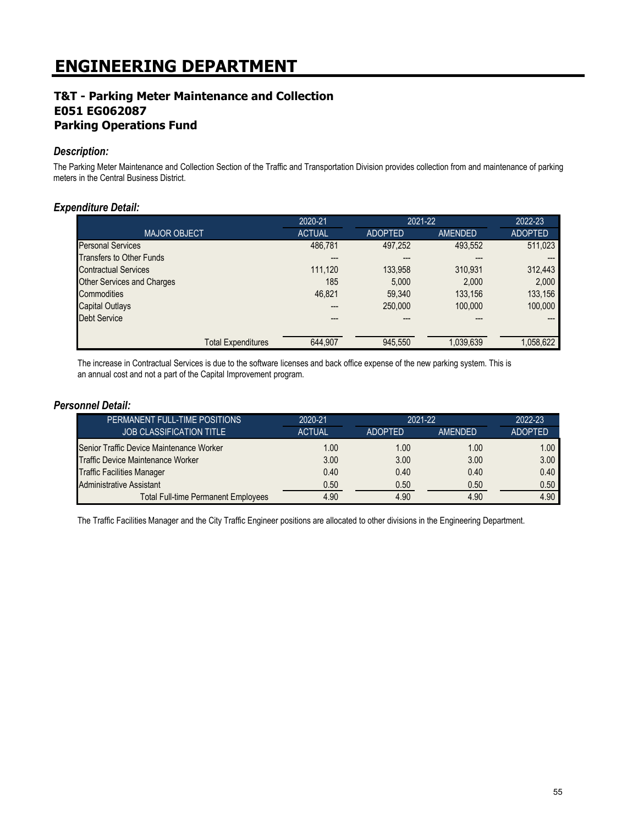## **T&T - Parking Meter Maintenance and Collection E051 EG062087 Parking Operations Fund**

#### *Description:*

The Parking Meter Maintenance and Collection Section of the Traffic and Transportation Division provides collection from and maintenance of parking meters in the Central Business District.

#### *Expenditure Detail:*

|                                 | 2020-21       | 2021-22        |                | 2022-23        |
|---------------------------------|---------------|----------------|----------------|----------------|
| <b>MAJOR OBJECT</b>             | <b>ACTUAL</b> | <b>ADOPTED</b> | <b>AMENDED</b> | <b>ADOPTED</b> |
| <b>Personal Services</b>        | 486,781       | 497,252        | 493,552        | 511,023        |
| <b>Transfers to Other Funds</b> | ---           | ---            | ---            |                |
| <b>Contractual Services</b>     | 111.120       | 133,958        | 310.931        | 312,443        |
| Other Services and Charges      | 185           | 5.000          | 2,000          | 2,000          |
| Commodities                     | 46,821        | 59,340         | 133.156        | 133,156        |
| Capital Outlays                 | ---           | 250,000        | 100.000        | 100,000        |
| <b>Debt Service</b>             |               |                | ---            |                |
| <b>Total Expenditures</b>       | 644,907       | 945,550        | 1,039,639      | 1,058,622      |

The increase in Contractual Services is due to the software licenses and back office expense of the new parking system. This is an annual cost and not a part of the Capital Improvement program.

#### *Personnel Detail:*

| PERMANENT FULL-TIME POSITIONS              | 2020-21       | $2021 - 22$    |                | 2022-23           |
|--------------------------------------------|---------------|----------------|----------------|-------------------|
| <b>JOB CLASSIFICATION TITLE</b>            | <b>ACTUAL</b> | <b>ADOPTED</b> | <b>AMENDED</b> | <b>ADOPTED</b>    |
| Senior Traffic Device Maintenance Worker   | 1.00          | 1.00           | 1.00           | 1.00 <sub>1</sub> |
| Traffic Device Maintenance Worker          | 3.00          | 3.00           | 3.00           | 3.00              |
| <b>Traffic Facilities Manager</b>          | 0.40          | 0.40           | 0.40           | 0.40              |
| Administrative Assistant                   | 0.50          | 0.50           | 0.50           | 0.50              |
| <b>Total Full-time Permanent Employees</b> | 4.90          | 4.90           | 4.90           | 4.90              |

The Traffic Facilities Manager and the City Traffic Engineer positions are allocated to other divisions in the Engineering Department.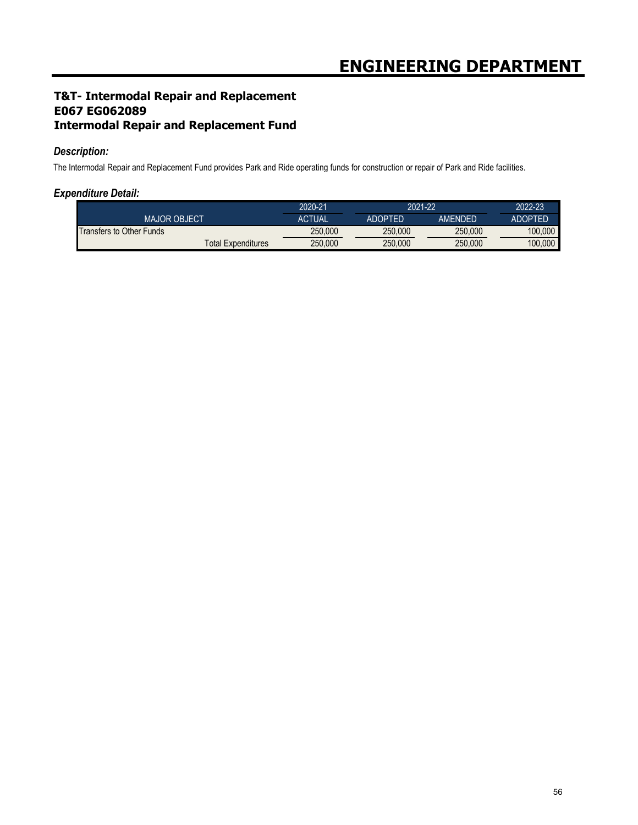## **T&T- Intermodal Repair and Replacement E067 EG062089 Intermodal Repair and Replacement Fund**

#### *Description:*

The Intermodal Repair and Replacement Fund provides Park and Ride operating funds for construction or repair of Park and Ride facilities.

#### *Expenditure Detail:*

|                                 | 2020-21       | 2021-22        |         | 2022-23        |
|---------------------------------|---------------|----------------|---------|----------------|
| <b>MAJOR OBJECT</b>             | <b>ACTUAL</b> | <b>ADOPTED</b> | AMFNDFD | <b>ADOPTED</b> |
| <b>Transfers to Other Funds</b> | 250,000       | 250.000        | 250,000 | 100.000        |
| <b>Total Expenditures</b>       | 250,000       | 250.000        | 250,000 | 100,000        |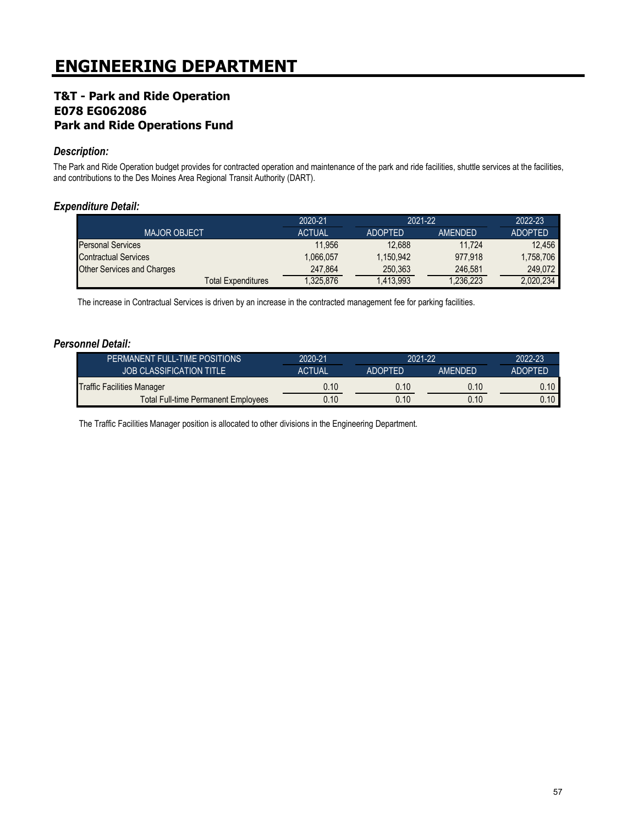## **T&T - Park and Ride Operation E078 EG062086 Park and Ride Operations Fund**

#### *Description:*

The Park and Ride Operation budget provides for contracted operation and maintenance of the park and ride facilities, shuttle services at the facilities, and contributions to the Des Moines Area Regional Transit Authority (DART).

### *Expenditure Detail:*

|                                   | 2020-21       | $2021 - 22$    |          | 2022-23        |
|-----------------------------------|---------------|----------------|----------|----------------|
| <b>MAJOR OBJECT</b>               | <b>ACTUAL</b> | <b>ADOPTED</b> | AMENDED  | <b>ADOPTED</b> |
| <b>Personal Services</b>          | 11.956        | 12.688         | 11.724   | 12.456         |
| Contractual Services              | 1.066.057     | 1.150.942      | 977.918  | 1,758,706      |
| <b>Other Services and Charges</b> | 247.864       | 250.363        | 246.581  | 249.072        |
| <b>Total Expenditures</b>         | 1.325.876     | 1.413.993      | .236,223 | 2.020.234      |

The increase in Contractual Services is driven by an increase in the contracted management fee for parking facilities.

#### *Personnel Detail:*

| PERMANENT FULL-TIME POSITIONS              | 2020-21       | 2021-22        |                | 2022-23        |
|--------------------------------------------|---------------|----------------|----------------|----------------|
| <b>JOB CLASSIFICATION TITLE</b>            | <b>ACTUAL</b> | <b>ADOPTED</b> | <b>AMFNDFD</b> | <b>ADOPTED</b> |
| Traffic Facilities Manager                 | 0.10          | 0.10           | 0.10           | 0.10           |
| <b>Total Full-time Permanent Employees</b> | 0.10          | 0.10           | 0.10           | 0.10           |

The Traffic Facilities Manager position is allocated to other divisions in the Engineering Department.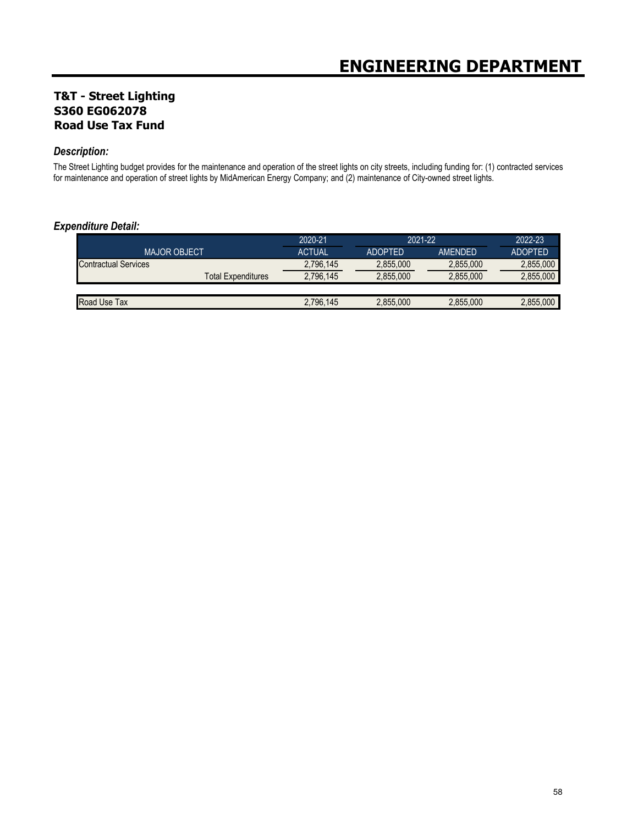## **T&T - Street Lighting S360 EG062078 Road Use Tax Fund**

#### *Description:*

The Street Lighting budget provides for the maintenance and operation of the street lights on city streets, including funding for: (1) contracted services for maintenance and operation of street lights by MidAmerican Energy Company; and (2) maintenance of City-owned street lights.

#### *Expenditure Detail:*

|                             |                    | 2020-21       | 2021-22        |                | 2022-23        |
|-----------------------------|--------------------|---------------|----------------|----------------|----------------|
| <b>MAJOR OBJECT</b>         |                    | <b>ACTUAL</b> | <b>ADOPTED</b> | <b>AMENDED</b> | <b>ADOPTED</b> |
| <b>Contractual Services</b> |                    | 2,796,145     | 2,855,000      | 2,855,000      | 2,855,000      |
|                             | Total Expenditures | 2,796,145     | 2,855,000      | 2.855.000      | 2,855,000      |
|                             |                    |               |                |                |                |
| Road Use Tax                |                    | 2,796,145     | 2,855,000      | 2.855.000      | 2.855,000      |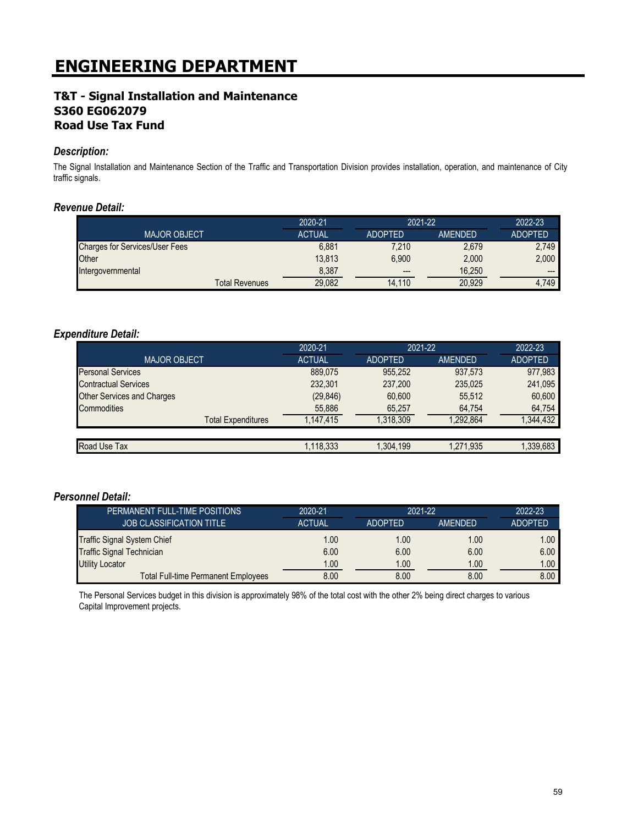### **T&T - Signal Installation and Maintenance S360 EG062079 Road Use Tax Fund**

#### *Description:*

The Signal Installation and Maintenance Section of the Traffic and Transportation Division provides installation, operation, and maintenance of City traffic signals.

#### *Revenue Detail:*

|                                       | 2020-21       | 2021-22        |         | 2022-23        |
|---------------------------------------|---------------|----------------|---------|----------------|
| <b>MAJOR OBJECT</b>                   | <b>ACTUAL</b> | <b>ADOPTED</b> | AMENDED | <b>ADOPTED</b> |
| <b>Charges for Services/User Fees</b> | 6.881         | 7.210          | 2,679   | 2,749          |
| Other                                 | 13.813        | 6.900          | 2.000   | 2,000          |
| Intergovernmental                     | 8,387         | $---$          | 16.250  | $---$          |
| <b>Total Revenues</b>                 | 29.082        | 14.110         | 20.929  | 4,749          |

#### *Expenditure Detail:*

|                                   | 2020-21       | 2021-22        |           | 2022-23        |
|-----------------------------------|---------------|----------------|-----------|----------------|
| <b>MAJOR OBJECT</b>               | <b>ACTUAL</b> | <b>ADOPTED</b> | AMENDED   | <b>ADOPTED</b> |
| <b>Personal Services</b>          | 889,075       | 955.252        | 937,573   | 977,983        |
| <b>Contractual Services</b>       | 232,301       | 237,200        | 235,025   | 241,095        |
| <b>Other Services and Charges</b> | (29, 846)     | 60,600         | 55.512    | 60,600         |
| Commodities                       | 55,886        | 65,257         | 64,754    | 64,754         |
| <b>Total Expenditures</b>         | 1.147.415     | 1.318.309      | 1.292.864 | 1,344,432      |
|                                   |               |                |           |                |
| Road Use Tax                      | 1,118,333     | 1,304,199      | 1,271,935 | 1,339,683      |

#### *Personnel Detail:*

| PERMANENT FULL-TIME POSITIONS              | 2020-21       | $2021 - 22$    |                | 2022-23           |
|--------------------------------------------|---------------|----------------|----------------|-------------------|
| <b>JOB CLASSIFICATION TITLE</b>            | <b>ACTUAL</b> | <b>ADOPTED</b> | <b>AMENDED</b> | <b>ADOPTED</b>    |
| Traffic Signal System Chief                | 1.00          | 1.00           | 1.00           | 1.00              |
| <b>Traffic Signal Technician</b>           | 6.00          | 6.00           | 6.00           | 6.00              |
| <b>Utility Locator</b>                     | 1.00          | 1.00           | 1.00           | 1.00 <sub>1</sub> |
| <b>Total Full-time Permanent Employees</b> | 8.00          | 8.00           | 8.00           | 8.00              |

The Personal Services budget in this division is approximately 98% of the total cost with the other 2% being direct charges to various Capital Improvement projects.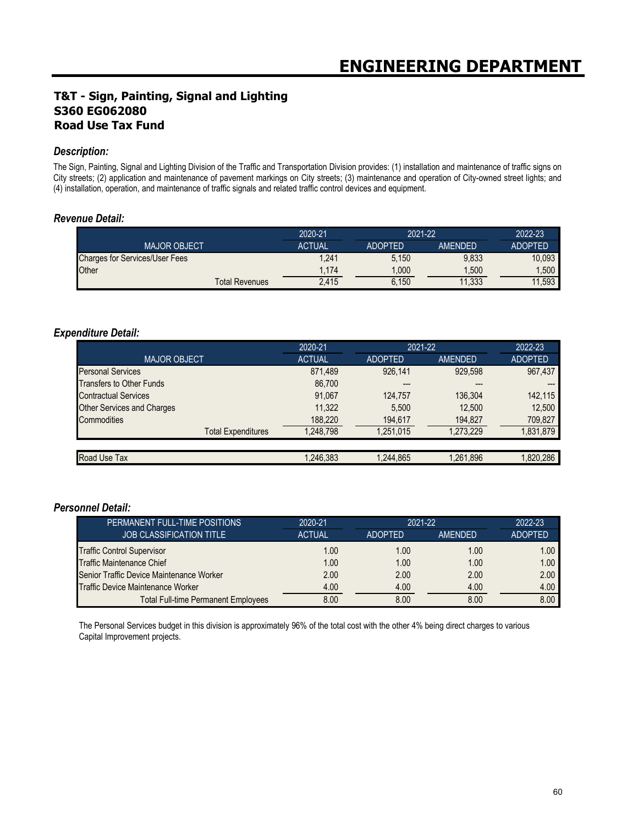## **T&T - Sign, Painting, Signal and Lighting S360 EG062080 Road Use Tax Fund**

#### *Description:*

The Sign, Painting, Signal and Lighting Division of the Traffic and Transportation Division provides: (1) installation and maintenance of traffic signs on City streets; (2) application and maintenance of pavement markings on City streets; (3) maintenance and operation of City-owned street lights; and (4) installation, operation, and maintenance of traffic signals and related traffic control devices and equipment.

#### *Revenue Detail:*

|                                       | 2020-21                        |                | 2021-22        |                |
|---------------------------------------|--------------------------------|----------------|----------------|----------------|
| <b>MAJOR OBJECT</b>                   | <b>ACTUAL</b>                  | <b>ADOPTED</b> | <b>AMENDED</b> | <b>ADOPTED</b> |
| <b>Charges for Services/User Fees</b> | 1,241                          | 5.150          | 9,833          | 10.093         |
| Other                                 | 1.174                          | 000            | ,500           | .500           |
|                                       | 2,415<br><b>Total Revenues</b> | 6,150          | 11,333         | 11,593         |

#### *Expenditure Detail:*

|                                   | 2020-21       | 2021-22        |                | 2022-23        |
|-----------------------------------|---------------|----------------|----------------|----------------|
| <b>MAJOR OBJECT</b>               | <b>ACTUAL</b> | <b>ADOPTED</b> | <b>AMENDED</b> | <b>ADOPTED</b> |
| <b>Personal Services</b>          | 871,489       | 926.141        | 929.598        | 967,437        |
| <b>Transfers to Other Funds</b>   | 86.700        |                | ---            |                |
| <b>Contractual Services</b>       | 91.067        | 124.757        | 136.304        | 142,115        |
| <b>Other Services and Charges</b> | 11,322        | 5.500          | 12.500         | 12.500         |
| Commodities                       | 188,220       | 194,617        | 194,827        | 709,827        |
| <b>Total Expenditures</b>         | 1.248.798     | 1.251.015      | 1,273,229      | 1,831,879      |
|                                   |               |                |                |                |
| Road Use Tax                      | 1,246,383     | 1.244.865      | 1,261,896      | 1,820,286      |

#### *Personnel Detail:*

| PERMANENT FULL-TIME POSITIONS              | 2020-21       | $2021 - 22$    |         | 2022-23           |
|--------------------------------------------|---------------|----------------|---------|-------------------|
| <b>JOB CLASSIFICATION TITLE</b>            | <b>ACTUAL</b> | <b>ADOPTED</b> | AMENDED | <b>ADOPTED</b>    |
| Traffic Control Supervisor                 | 1.00          | 1.00           | 1.00    | 1.00 <sub>1</sub> |
| <b>Traffic Maintenance Chief</b>           | 1.00          | 1.00           | 1.00    | 1.00              |
| Senior Traffic Device Maintenance Worker   | 2.00          | 2.00           | 2.00    | 2.00              |
| <b>Traffic Device Maintenance Worker</b>   | 4.00          | 4.00           | 4.00    | 4.00              |
| <b>Total Full-time Permanent Employees</b> | 8.00          | 8.00           | 8.00    | 8.00              |

The Personal Services budget in this division is approximately 96% of the total cost with the other 4% being direct charges to various Capital Improvement projects.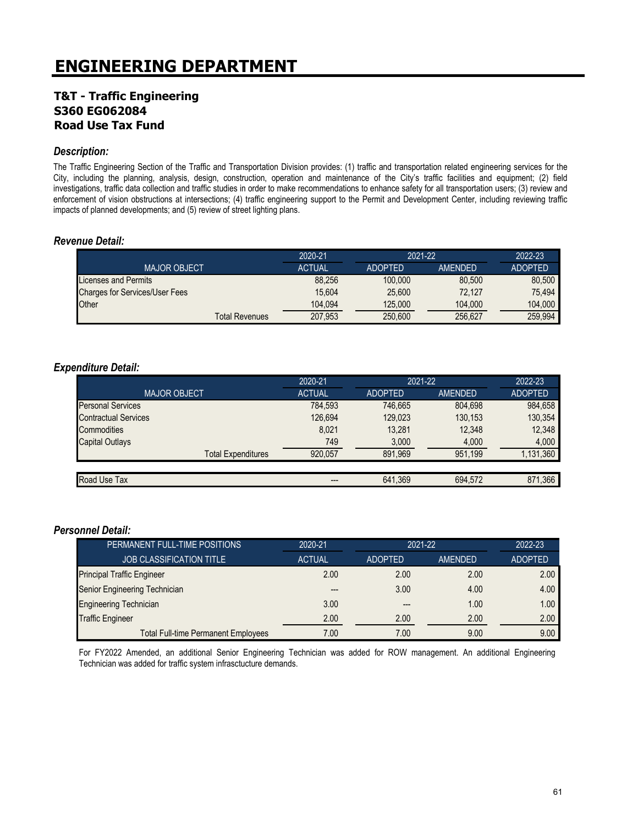## **T&T - Traffic Engineering S360 EG062084 Road Use Tax Fund**

#### *Description:*

The Traffic Engineering Section of the Traffic and Transportation Division provides: (1) traffic and transportation related engineering services for the City, including the planning, analysis, design, construction, operation and maintenance of the City's traffic facilities and equipment; (2) field investigations, traffic data collection and traffic studies in order to make recommendations to enhance safety for all transportation users; (3) review and enforcement of vision obstructions at intersections; (4) traffic engineering support to the Permit and Development Center, including reviewing traffic impacts of planned developments; and (5) review of street lighting plans.

#### *Revenue Detail:*

|                                       | 2020-21       | 2021-22        |         | 2022-23        |
|---------------------------------------|---------------|----------------|---------|----------------|
| <b>MAJOR OBJECT</b>                   | <b>ACTUAL</b> | <b>ADOPTED</b> | AMENDED | <b>ADOPTED</b> |
| <b>Licenses and Permits</b>           | 88.256        | 100,000        | 80.500  | 80.500         |
| <b>Charges for Services/User Fees</b> | 15.604        | 25.600         | 72.127  | 75.494         |
| Other                                 | 104.094       | 125,000        | 104.000 | 104.000        |
| <b>Total Revenues</b>                 | 207,953       | 250,600        | 256,627 | 259.994        |

#### *Expenditure Detail:*

|                             | 2020-21       | 2021-22        |         | 2022-23        |
|-----------------------------|---------------|----------------|---------|----------------|
| <b>MAJOR OBJECT</b>         | <b>ACTUAL</b> | <b>ADOPTED</b> | AMENDED | <b>ADOPTED</b> |
| <b>Personal Services</b>    | 784,593       | 746.665        | 804.698 | 984,658        |
| <b>Contractual Services</b> | 126,694       | 129,023        | 130,153 | 130,354        |
| Commodities                 | 8,021         | 13,281         | 12,348  | 12,348         |
| Capital Outlays             | 749           | 3,000          | 4,000   | 4,000          |
| <b>Total Expenditures</b>   | 920.057       | 891.969        | 951.199 | 1,131,360      |
|                             |               |                |         |                |
| Road Use Tax                | ---           | 641.369        | 694.572 | 871.366        |

#### *Personnel Detail:*

| PERMANENT FULL-TIME POSITIONS              | 2020-21       | 2021-22        |         | 2022-23        |
|--------------------------------------------|---------------|----------------|---------|----------------|
| <b>JOB CLASSIFICATION TITLE</b>            | <b>ACTUAL</b> | <b>ADOPTED</b> | AMENDED | <b>ADOPTED</b> |
| <b>Principal Traffic Engineer</b>          | 2.00          | 2.00           | 2.00    | 2.00           |
| Senior Engineering Technician              |               | 3.00           | 4.00    | 4.00           |
| <b>Engineering Technician</b>              | 3.00          | ---            | 1.00    | 1.00           |
| <b>Traffic Engineer</b>                    | 2.00          | 2.00           | 2.00    | 2.00           |
| <b>Total Full-time Permanent Employees</b> | 7.00          | 7.00           | 9.00    | 9.00           |

For FY2022 Amended, an additional Senior Engineering Technician was added for ROW management. An additional Engineering Technician was added for traffic system infrasctucture demands.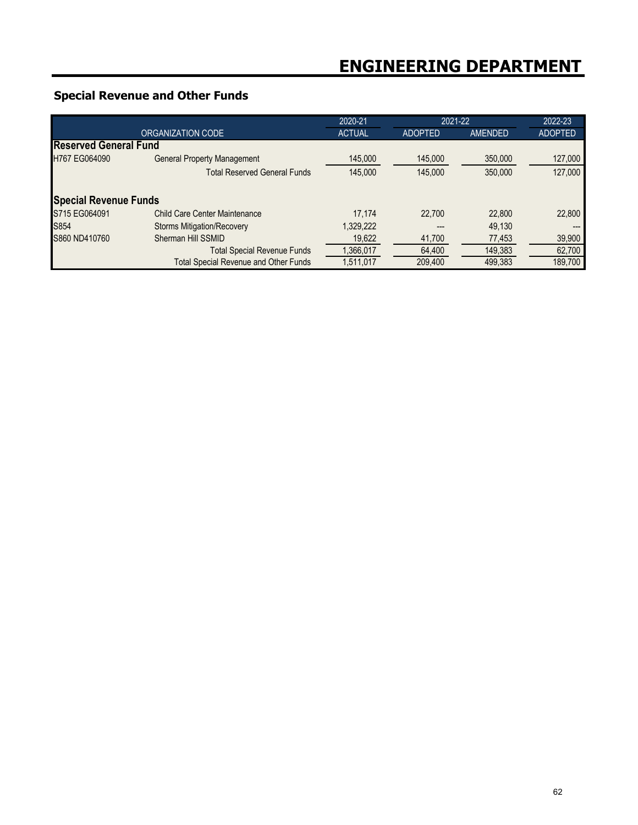## **Special Revenue and Other Funds**

|                              |                                              | 2020-21       | 2021-22        |         | 2022-23        |
|------------------------------|----------------------------------------------|---------------|----------------|---------|----------------|
| ORGANIZATION CODE            |                                              | <b>ACTUAL</b> | <b>ADOPTED</b> | AMENDED | <b>ADOPTED</b> |
| <b>Reserved General Fund</b> |                                              |               |                |         |                |
| H767 EG064090                | <b>General Property Management</b>           | 145,000       | 145,000        | 350,000 | 127,000        |
|                              | <b>Total Reserved General Funds</b>          | 145,000       | 145,000        | 350,000 | 127,000        |
| <b>Special Revenue Funds</b> |                                              |               |                |         |                |
| S715 EG064091                | Child Care Center Maintenance                | 17.174        | 22,700         | 22,800  | 22,800         |
| S854                         | <b>Storms Mitigation/Recovery</b>            | 1,329,222     |                | 49.130  | ---            |
| S860 ND410760                | Sherman Hill SSMID                           | 19,622        | 41,700         | 77,453  | 39,900         |
|                              | <b>Total Special Revenue Funds</b>           | 1,366,017     | 64,400         | 149,383 | 62,700         |
|                              | <b>Total Special Revenue and Other Funds</b> | 1,511,017     | 209,400        | 499,383 | 189,700        |